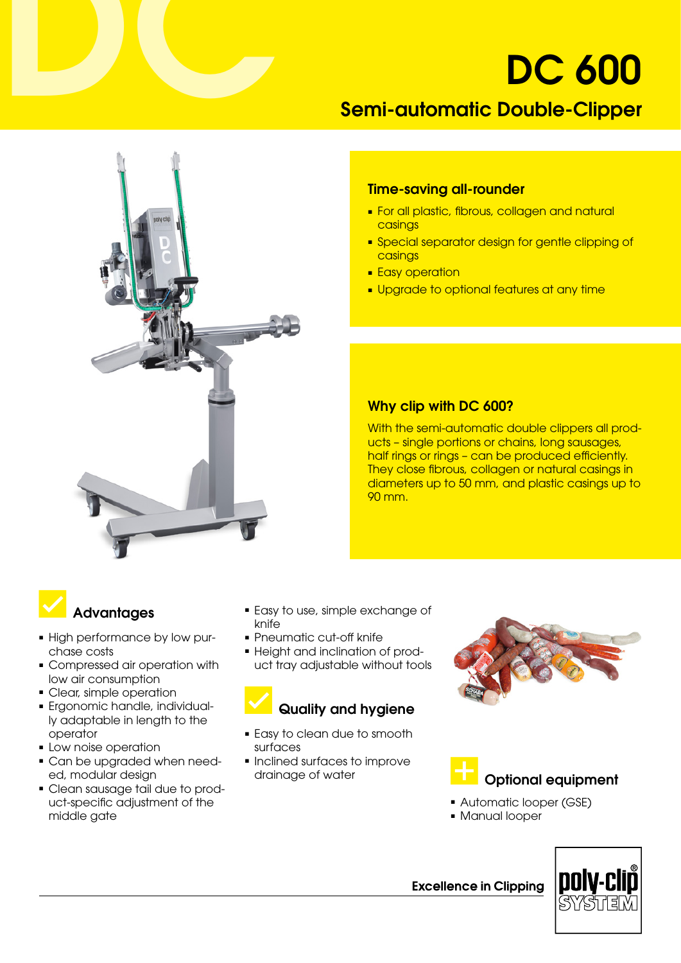# DC 600

## Semi-automatic Double-Clipper



#### Time-saving all-rounder

- For all plastic, fibrous, collagen and natural casings
- Special separator design for gentle clipping of casings
- Easy operation
- Upgrade to optional features at any time

### Why clip with DC 600?

With the semi-automatic double clippers all products – single portions or chains, long sausages, half rings or rings - can be produced efficiently. They close fibrous, collagen or natural casings in diameters up to 50 mm, and plastic casings up to 90 mm.

## **Advantages**

- High performance by low purchase costs
- Compressed air operation with low air consumption
- Clear, simple operation
- ■ Ergonomic handle, individually adaptable in length to the operator
- Low noise operation
- Can be upgraded when needed, modular design
- Clean sausage tail due to product-specific adjustment of the middle gate
- Easy to use, simple exchange of knife
- Pneumatic cut-off knife
- Height and inclination of product tray adjustable without tools

## Quality and hygiene

- Easy to clean due to smooth surfaces
- Inclined surfaces to improve





- Automatic looper (GSE)
- Manual looper



**Excellence in Clipping**